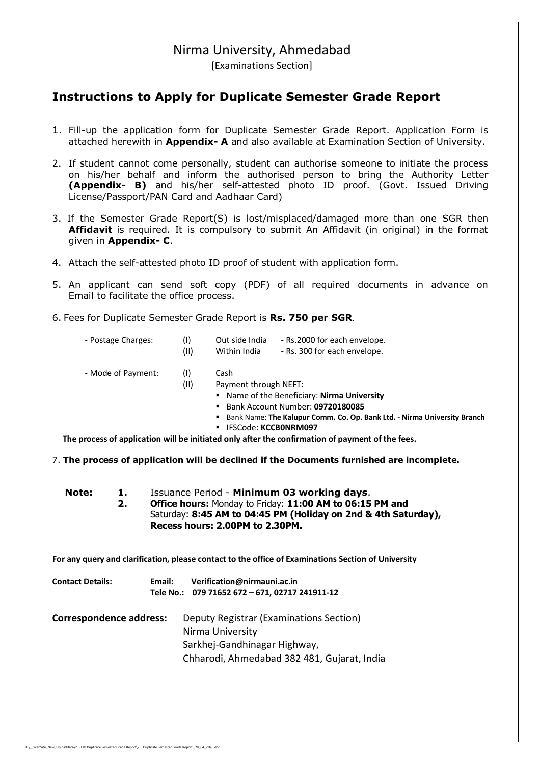# Nirma University, Ahmedabad

[Examinations Section]

#### **Instructions to Apply for Duplicate Semester Grade Report**

- 1. Fill-up the application form for Duplicate Semester Grade Report. Application Form is attached herewith in **Appendix- A** and also available at Examination Section of University.
- 2. If student cannot come personally, student can authorise someone to initiate the process on his/her behalf and inform the authorised person to bring the Authority Letter **(Appendix- B)** and his/her self-attested photo ID proof. (Govt. Issued Driving License/Passport/PAN Card and Aadhaar Card)
- 3. If the Semester Grade Report(S) is lost/misplaced/damaged more than one SGR then **Affidavit** is required. It is compulsory to submit An Affidavit (in original) in the format given in **Appendix- C**.
- 4. Attach the self-attested photo ID proof of student with application form.
- 5. An applicant can send soft copy (PDF) of all required documents in advance on Email to facilitate the office process.
- 6. Fees for Duplicate Semester Grade Report is **Rs. 750 per SGR**.

| - Postage Charges: | Out side India              | - Rs.2000 for each envelope. |
|--------------------|-----------------------------|------------------------------|
|                    | A A Partie Star The Library | De 200 fem en de environne   |

- (II) Within India Rs. 300 for each envelope.
- Mode of Payment: (I) Cash

#### (II) Payment through NEFT:

- Name of the Beneficiary: **Nirma University**
- Bank Account Number: **09720180085**
- Bank Name: **The Kalupur Comm. Co. Op. Bank Ltd. Nirma University Branch**

DupSGR/01-2018/631 to 800

IFSCode: **KCCB0NRM097**

 **The process of application will be initiated only after the confirmation of payment of the fees.**

7. **The process of application will be declined if the Documents furnished are incomplete.**

| Note: | 1. | Issuance Period - Minimum 03 working days.                     |
|-------|----|----------------------------------------------------------------|
|       |    | Office hours: Monday to Friday: 11:00 AM to 06:15 PM and       |
|       |    | Saturday: 8:45 AM to 04:45 PM (Holiday on 2nd & 4th Saturday), |
|       |    | Recess hours: 2.00PM to 2.30PM.                                |

 **For any query and clarification, please contact to the office of Examinations Section of University**

| <b>Contact Details:</b>        | Email: | Verification@nirmauni.ac.in<br>Tele No.: 079 71652 672 - 671, 02717 241911-12 |
|--------------------------------|--------|-------------------------------------------------------------------------------|
| <b>Correspondence address:</b> |        | Deputy Registrar (Examinations Section)<br>Nirma University                   |
|                                |        | Sarkhej-Gandhinagar Highway,                                                  |
|                                |        | Chharodi, Ahmedabad 382 481, Gujarat, India                                   |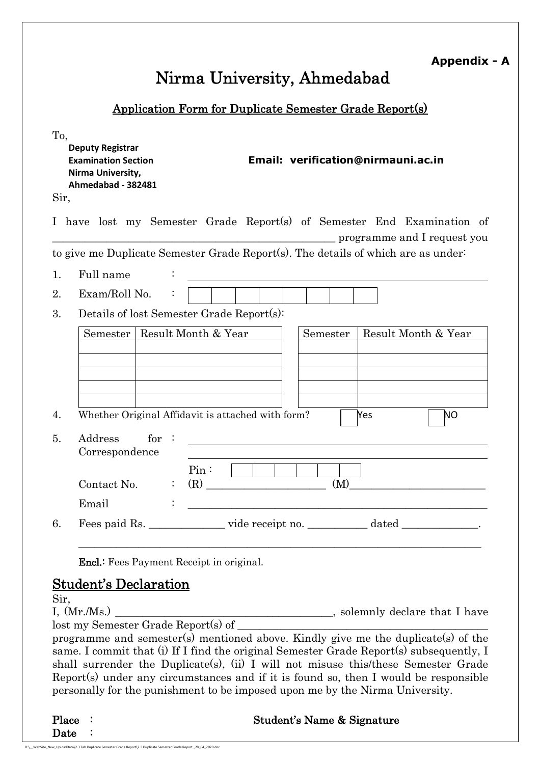| <b>Appendix - A</b> |
|---------------------|
|---------------------|

DupSGR/01-2018/631 to 800

# **Nirma University, Ahmedabad**

## **Application Form for Duplicate Semester Grade Report(s)**

| To,<br><b>Deputy Registrar</b><br>Email: verification@nirmauni.ac.in<br><b>Examination Section</b><br>Nirma University,<br>Ahmedabad - 382481<br>Sir, |                           |
|-------------------------------------------------------------------------------------------------------------------------------------------------------|---------------------------|
| I have lost my Semester Grade Report(s) of Semester End Examination of<br>programme and I request you                                                 |                           |
| to give me Duplicate Semester Grade Report(s). The details of which are as under-                                                                     |                           |
| Full name<br>1.<br><u> 1989 - Andrea Brand, Amerikaansk politiker (</u>                                                                               |                           |
| Exam/Roll No.<br>2.                                                                                                                                   |                           |
| Details of lost Semester Grade Report(s):<br>3.                                                                                                       |                           |
| Semester   Result Month & Year<br>Semester<br>Whether Original Affidavit is attached with form?<br>Yes<br>4.                                          | Result Month & Year<br>ΝO |
| for:<br>Address<br>5.<br>Correspondence                                                                                                               |                           |
| $Pin:$ $\Box$<br>(M)<br>Contact No.<br>$\mathcal{Z}^{\mathcal{A}}$ .                                                                                  |                           |
| Email<br><u> 1980 - Johann Stein, marwolaethau (b. 1980)</u>                                                                                          |                           |
| Fees paid Rs. ________________ vide receipt no. _____________ dated _____________.<br>6.                                                              |                           |
| <b>Encl.:</b> Fees Payment Receipt in original.                                                                                                       |                           |

## **Student's Declaration**

Sir,

I,  $(Mr/Ms.)$  solemnly declare that I have lost my Semester Grade Report(s) of

programme and semester(s) mentioned above. Kindly give me the duplicate(s) of the same. I commit that (i) If I find the original Semester Grade Report(s) subsequently, I shall surrender the Duplicate(s), (ii) I will not misuse this/these Semester Grade Report(s) under any circumstances and if it is found so, then I would be responsible personally for the punishment to be imposed upon me by the Nirma University.

**Place : Student's Name & Signature**  Date :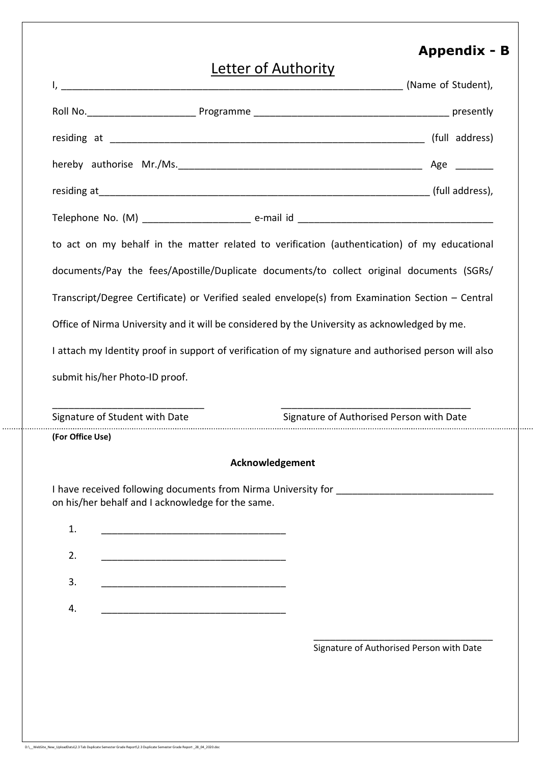# **Appendix - B**

DupSGR/01-2018/631 to 800

# Letter of Authority I, \_\_\_\_\_\_\_\_\_\_\_\_\_\_\_\_\_\_\_\_\_\_\_\_\_\_\_\_\_\_\_\_\_\_\_\_\_\_\_\_\_\_\_\_\_\_\_\_\_\_\_\_\_\_\_\_\_\_\_\_\_\_\_ (Name of Student), Roll No.\_\_\_\_\_\_\_\_\_\_\_\_\_\_\_\_\_\_\_\_ Programme \_\_\_\_\_\_\_\_\_\_\_\_\_\_\_\_\_\_\_\_\_\_\_\_\_\_\_\_\_\_\_\_\_\_\_\_ presently residing at \_\_\_\_\_\_\_\_\_\_\_\_\_\_\_\_\_\_\_\_\_\_\_\_\_\_\_\_\_\_\_\_\_\_\_\_\_\_\_\_\_\_\_\_\_\_\_\_\_\_\_\_\_\_\_\_\_\_ (full address) hereby authorise Mr./Ms. 2008 and the set of the set of the set of the set of the set of the set of the set of residing at  $(full$  address), Telephone No. (M) \_\_\_\_\_\_\_\_\_\_\_\_\_\_\_\_\_\_\_\_ e-mail id \_\_\_\_\_\_\_\_\_\_\_\_\_\_\_\_\_\_\_\_\_\_\_\_\_\_\_\_\_\_\_\_\_\_\_\_ to act on my behalf in the matter related to verification (authentication) of my educational documents/Pay the fees/Apostille/Duplicate documents/to collect original documents (SGRs/ Transcript/Degree Certificate) or Verified sealed envelope(s) from Examination Section – Central

Office of Nirma University and it will be considered by the University as acknowledged by me.

I attach my Identity proof in support of verification of my signature and authorised person will also

submit his/her Photo-ID proof.

\_\_\_\_\_\_\_\_\_\_\_\_\_\_\_\_\_\_\_\_\_\_\_\_\_\_\_\_ \_\_\_\_\_\_\_\_\_\_\_\_\_\_\_\_\_\_\_\_\_\_\_\_\_\_\_\_\_\_\_\_\_\_\_ Signature of Student with Date Signature of Authorised Person with Date **(For Office Use)**

#### **Acknowledgement**

I have received following documents from Nirma University for \_\_\_\_\_\_\_\_\_\_\_\_\_\_\_\_\_\_\_ on his/her behalf and I acknowledge for the same.

| 1. |                                                                                                                      |
|----|----------------------------------------------------------------------------------------------------------------------|
| 2. | <u>a sa mga sa</u> nagawang                                                                                          |
| 3. |                                                                                                                      |
|    | <u> 1980 - Jan Samuel Barbara, poeta poeta poeta poeta poeta poeta poeta poeta poeta poeta poeta poeta poeta poe</u> |
| 4. |                                                                                                                      |

\_\_\_\_\_\_\_\_\_\_\_\_\_\_\_\_\_\_\_\_\_\_\_\_\_\_\_\_\_\_\_\_\_ Signature of Authorised Person with Date